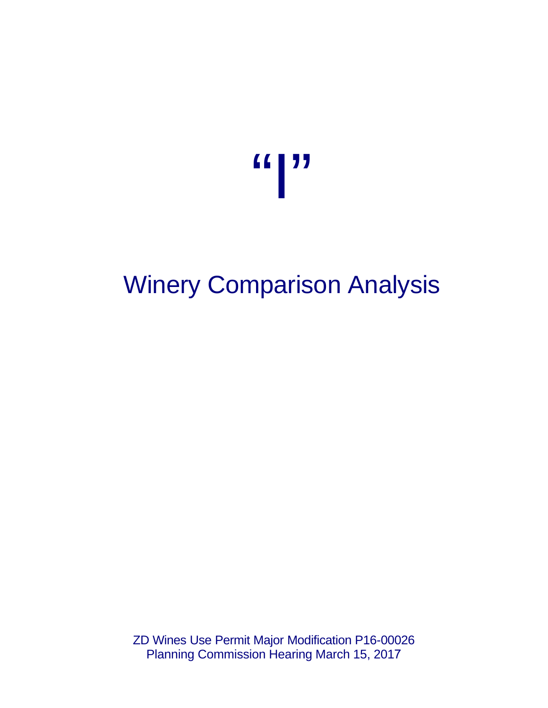

# Winery Comparison Analysis

ZD Wines Use Permit Major Modification P16-00026 Planning Commission Hearing March 15, 2017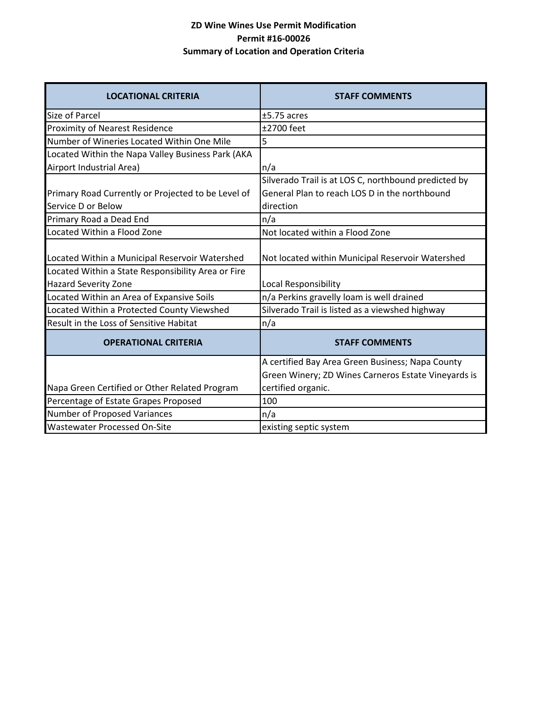### **ZD Wine Wines Use Permit Modification Permit #16-00026 Summary of Location and Operation Criteria**

| <b>LOCATIONAL CRITERIA</b>                                                                           | <b>STAFF COMMENTS</b>                                                                                              |
|------------------------------------------------------------------------------------------------------|--------------------------------------------------------------------------------------------------------------------|
| <b>Size of Parcel</b>                                                                                | $±5.75$ acres                                                                                                      |
| <b>Proximity of Nearest Residence</b>                                                                | ±2700 feet                                                                                                         |
| Number of Wineries Located Within One Mile                                                           | 5                                                                                                                  |
| Located Within the Napa Valley Business Park (AKA                                                    |                                                                                                                    |
| Airport Industrial Area)                                                                             | n/a                                                                                                                |
| Primary Road Currently or Projected to be Level of<br>Service D or Below                             | Silverado Trail is at LOS C, northbound predicted by<br>General Plan to reach LOS D in the northbound<br>direction |
| Primary Road a Dead End                                                                              | n/a                                                                                                                |
| Located Within a Flood Zone                                                                          | Not located within a Flood Zone                                                                                    |
| Located Within a Municipal Reservoir Watershed<br>Located Within a State Responsibility Area or Fire | Not located within Municipal Reservoir Watershed                                                                   |
| <b>Hazard Severity Zone</b>                                                                          | Local Responsibility                                                                                               |
| Located Within an Area of Expansive Soils                                                            | n/a Perkins gravelly loam is well drained                                                                          |
| Located Within a Protected County Viewshed                                                           | Silverado Trail is listed as a viewshed highway                                                                    |
| Result in the Loss of Sensitive Habitat                                                              | n/a                                                                                                                |
| <b>OPERATIONAL CRITERIA</b>                                                                          | <b>STAFF COMMENTS</b>                                                                                              |
|                                                                                                      | A certified Bay Area Green Business; Napa County<br>Green Winery; ZD Wines Carneros Estate Vineyards is            |
| Napa Green Certified or Other Related Program                                                        | certified organic.                                                                                                 |
| Percentage of Estate Grapes Proposed                                                                 | 100                                                                                                                |
| Number of Proposed Variances                                                                         | n/a                                                                                                                |
| <b>Wastewater Processed On-Site</b>                                                                  | existing septic system                                                                                             |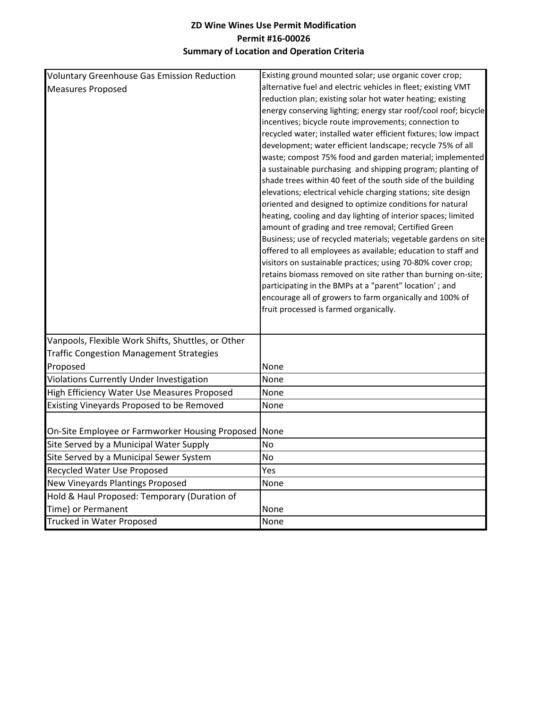### **ZD Wine Wines Use Permit Modification Permit #16-00026 Summary of Location and Operation Criteria**

| <b>Voluntary Greenhouse Gas Emission Reduction</b> | Existing ground mounted solar; use organic cover crop;                                                                 |
|----------------------------------------------------|------------------------------------------------------------------------------------------------------------------------|
| <b>Measures Proposed</b>                           | alternative fuel and electric vehicles in fleet; existing VMT                                                          |
|                                                    | reduction plan; existing solar hot water heating; existing                                                             |
|                                                    | energy conserving lighting; energy star roof/cool roof; bicycle                                                        |
|                                                    | incentives; bicycle route improvements; connection to                                                                  |
|                                                    | recycled water; installed water efficient fixtures; low impact                                                         |
|                                                    | development; water efficient landscape; recycle 75% of all                                                             |
|                                                    | waste; compost 75% food and garden material; implemented                                                               |
|                                                    | a sustainable purchasing and shipping program; planting of                                                             |
|                                                    | shade trees within 40 feet of the south side of the building                                                           |
|                                                    | elevations; electrical vehicle charging stations; site design                                                          |
|                                                    | oriented and designed to optimize conditions for natural                                                               |
|                                                    | heating, cooling and day lighting of interior spaces; limited                                                          |
|                                                    | amount of grading and tree removal; Certified Green                                                                    |
|                                                    | Business; use of recycled materials; vegetable gardens on site                                                         |
|                                                    | offered to all employees as available; education to staff and                                                          |
|                                                    | visitors on sustainable practices; using 70-80% cover crop;                                                            |
|                                                    | retains biomass removed on site rather than burning on-site;<br>participating in the BMPs at a "parent" location'; and |
|                                                    | encourage all of growers to farm organically and 100% of                                                               |
|                                                    | fruit processed is farmed organically.                                                                                 |
|                                                    |                                                                                                                        |
|                                                    |                                                                                                                        |
| Vanpools, Flexible Work Shifts, Shuttles, or Other |                                                                                                                        |
| <b>Traffic Congestion Management Strategies</b>    |                                                                                                                        |
| Proposed                                           | None                                                                                                                   |
| Violations Currently Under Investigation           | None                                                                                                                   |
| High Efficiency Water Use Measures Proposed        | None                                                                                                                   |
| Existing Vineyards Proposed to be Removed          | None                                                                                                                   |
|                                                    |                                                                                                                        |
| On-Site Employee or Farmworker Housing Proposed    | None                                                                                                                   |
| Site Served by a Municipal Water Supply            | No                                                                                                                     |
| Site Served by a Municipal Sewer System            | No                                                                                                                     |
| Recycled Water Use Proposed                        | Yes                                                                                                                    |
| New Vineyards Plantings Proposed                   | None                                                                                                                   |
| Hold & Haul Proposed: Temporary (Duration of       |                                                                                                                        |
| Time) or Permanent                                 | None                                                                                                                   |
| <b>Trucked in Water Proposed</b>                   | None                                                                                                                   |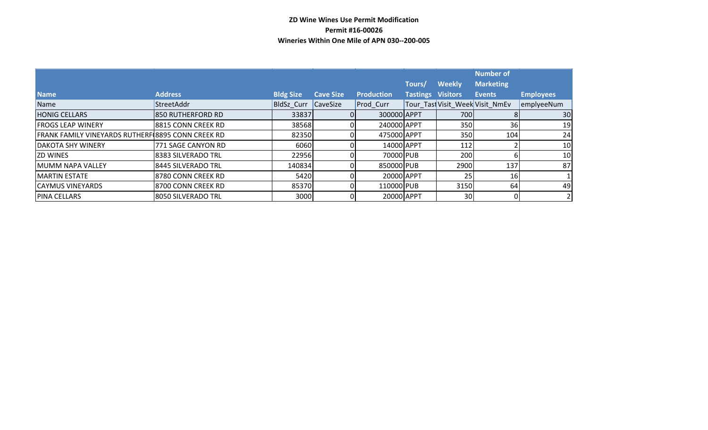#### **ZD Wine Wines Use Permit Modification Permit #16-00026 Wineries Within One Mile of APN 030--200-005**

|                                                   |                     |                   |                  |                   |                   |               | <b>Number of</b>                |                  |
|---------------------------------------------------|---------------------|-------------------|------------------|-------------------|-------------------|---------------|---------------------------------|------------------|
|                                                   |                     |                   |                  |                   | Tours/            | <b>Weekly</b> | <b>Marketing</b>                |                  |
| <b>Name</b>                                       | <b>Address</b>      | <b>Bldg Size</b>  | <b>Cave Size</b> | <b>Production</b> | Tastings Visitors |               | <b>Events</b>                   | <b>Employees</b> |
| Name                                              | StreetAddr          | <b>BldSz Curr</b> | <b>CaveSize</b>  | Prod Curr         |                   |               | Tour Tast Visit Week Visit NmEv | emplyeeNum       |
| <b>HONIG CELLARS</b>                              | 850 RUTHERFORD RD   | 33837             |                  | 300000 APPT       |                   | 700           |                                 | 30               |
| <b>FROGS LEAP WINERY</b>                          | 8815 CONN CREEK RD  | 38568             | 0                | 240000 APPT       |                   | 350           | 36                              | 19               |
| FRANK FAMILY VINEYARDS RUTHERF 8895 CONN CREEK RD |                     | 82350             |                  | 475000 APPT       |                   | 350           | 104                             | 24               |
| <b>DAKOTA SHY WINERY</b>                          | 771 SAGE CANYON RD  | 6060              |                  | 14000 APPT        |                   | 112           |                                 | 10               |
| <b>ZD WINES</b>                                   | 8383 SILVERADO TRL  | 22956             |                  | 70000 PUB         |                   | 200           |                                 | 10               |
| MUMM NAPA VALLEY                                  | 8445 SILVERADO TRL  | 140834            |                  | 850000 PUB        |                   | 2900          | 137                             | 87               |
| <b>MARTIN ESTATE</b>                              | 18780 CONN CREEK RD | 5420              |                  | 20000 APPT        |                   | 25            | 16                              |                  |
| <b>CAYMUS VINEYARDS</b>                           | 8700 CONN CREEK RD  | 85370             | 0                | 110000 PUB        |                   | 3150          | 64                              | 49               |
| <b>PINA CELLARS</b>                               | 8050 SILVERADO TRL  | 3000              |                  | 20000 APPT        |                   | 30            |                                 |                  |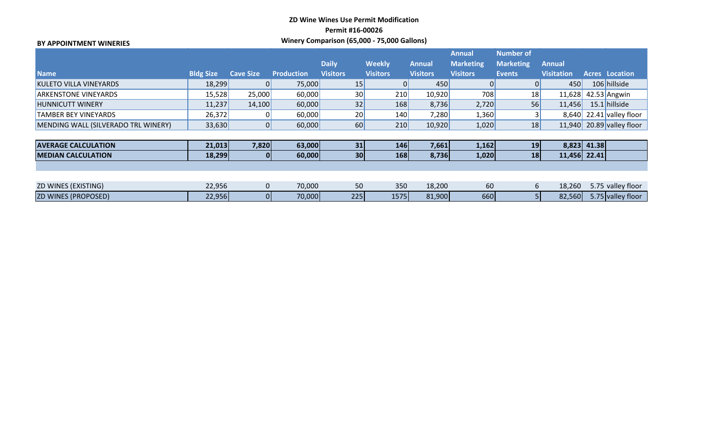## **ZD Wine Wines Use Permit Modification Permit #16-00026 Winery Comparison (65,000 - 75,000 Gallons) BY APPOINTMENT WINERIES**

|                                     |                  |                  |                   |                                 |                                  |                           | <b>Annual</b>                       | <b>Number of</b>                  |                                    |             |                           |
|-------------------------------------|------------------|------------------|-------------------|---------------------------------|----------------------------------|---------------------------|-------------------------------------|-----------------------------------|------------------------------------|-------------|---------------------------|
| <b>Name</b>                         | <b>Bldg Size</b> | <b>Cave Size</b> | <b>Production</b> | <b>Daily</b><br><b>Visitors</b> | <b>Weekly</b><br><b>Visitors</b> | Annual<br><b>Visitors</b> | <b>Marketing</b><br><b>Visitors</b> | <b>Marketing</b><br><b>Events</b> | <b>Annual</b><br><b>Visitation</b> |             | <b>Acres Location</b>     |
| <b>KULETO VILLA VINEYARDS</b>       | 18,299           | 0                | 75,000            | 15                              | $\overline{0}$                   | 450                       |                                     |                                   | 450                                |             | 106 hillside              |
| <b>ARKENSTONE VINEYARDS</b>         | 15,528           | 25,000           | 60,000            | 30 <sub>1</sub>                 | 210                              | 10,920                    | 708                                 | 18                                | 11,628                             |             | 42.53 Angwin              |
| <b>HUNNICUTT WINERY</b>             | 11,237           | 14,100           | 60,000            | 32                              | 168                              | 8,736                     | 2,720                               | 56                                | 11,456                             |             | 15.1 hillside             |
| <b>TAMBER BEY VINEYARDS</b>         | 26,372           | 0                | 60,000            | 20                              | 140                              | 7,280                     | 1,360                               |                                   |                                    |             | 8,640 22.41 valley floor  |
| MENDING WALL (SILVERADO TRL WINERY) | 33,630           | 0                | 60,000            | 60                              | 210                              | 10,920                    | 1,020                               | 18                                |                                    |             | 11,940 20.89 valley floor |
|                                     |                  |                  |                   |                                 |                                  |                           |                                     |                                   |                                    |             |                           |
| <b>AVERAGE CALCULATION</b>          | 21,013           | 7,820            | 63,000            | 31                              | 146                              | 7,661                     | 1,162                               | 19                                |                                    | 8,823 41.38 |                           |
| <b>IMEDIAN CALCULATION</b>          | 18,299           | <sup>O</sup>     | 60,000            | 30 <sup>1</sup>                 | 168                              | 8,736                     | 1,020                               | 18                                | 11,456 22.41                       |             |                           |
|                                     |                  |                  |                   |                                 |                                  |                           |                                     |                                   |                                    |             |                           |
|                                     |                  |                  |                   |                                 |                                  |                           |                                     |                                   |                                    |             |                           |
| <b>ZD WINES (EXISTING)</b>          | 22,956           | $\mathbf 0$      | 70,000            | 50                              | 350                              | 18,200                    | 60                                  | 6                                 | 18,260                             |             | 5.75 valley floor         |
| <b>ZD WINES (PROPOSED)</b>          | 22,956           | 01               | 70,000            | 225                             | 1575                             | 81,900                    | 660                                 |                                   | 82,560                             |             | 5.75 valley floor         |